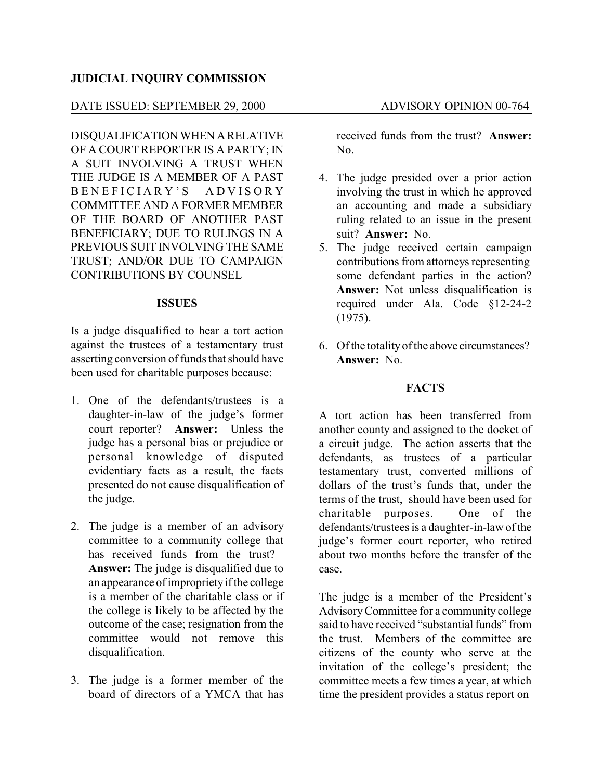## **JUDICIAL INQUIRY COMMISSION**

## DATE ISSUED: SEPTEMBER 29, 2000 ADVISORY OPINION 00-764

DISQUALIFICATIONWHEN ARELATIVE OF A COURT REPORTER IS A PARTY; IN A SUIT INVOLVING A TRUST WHEN THE JUDGE IS A MEMBER OF A PAST B E N E F I C I A R Y ' S A D V I S O R Y COMMITTEE AND A FORMER MEMBER OF THE BOARD OF ANOTHER PAST BENEFICIARY; DUE TO RULINGS IN A PREVIOUS SUIT INVOLVING THE SAME TRUST; AND/OR DUE TO CAMPAIGN CONTRIBUTIONS BY COUNSEL

### **ISSUES**

Is a judge disqualified to hear a tort action against the trustees of a testamentary trust asserting conversion of funds that should have been used for charitable purposes because:

- 1. One of the defendants/trustees is a daughter-in-law of the judge's former court reporter? **Answer:** Unless the judge has a personal bias or prejudice or personal knowledge of disputed evidentiary facts as a result, the facts presented do not cause disqualification of the judge.
- 2. The judge is a member of an advisory committee to a community college that has received funds from the trust? **Answer:** The judge is disqualified due to an appearance of improprietyif the college is a member of the charitable class or if the college is likely to be affected by the outcome of the case; resignation from the committee would not remove this disqualification.
- 3. The judge is a former member of the board of directors of a YMCA that has

received funds from the trust? **Answer:** No.

- 4. The judge presided over a prior action involving the trust in which he approved an accounting and made a subsidiary ruling related to an issue in the present suit? **Answer:** No.
- 5. The judge received certain campaign contributions from attorneys representing some defendant parties in the action? **Answer:** Not unless disqualification is required under Ala. Code §12-24-2 (1975).
- 6. Of the totality of the above circumstances? **Answer:** No.

### **FACTS**

A tort action has been transferred from another county and assigned to the docket of a circuit judge. The action asserts that the defendants, as trustees of a particular testamentary trust, converted millions of dollars of the trust's funds that, under the terms of the trust, should have been used for charitable purposes. One of the defendants/trustees is a daughter-in-law of the judge's former court reporter, who retired about two months before the transfer of the case.

The judge is a member of the President's AdvisoryCommittee for a community college said to have received "substantial funds" from the trust. Members of the committee are citizens of the county who serve at the invitation of the college's president; the committee meets a few times a year, at which time the president provides a status report on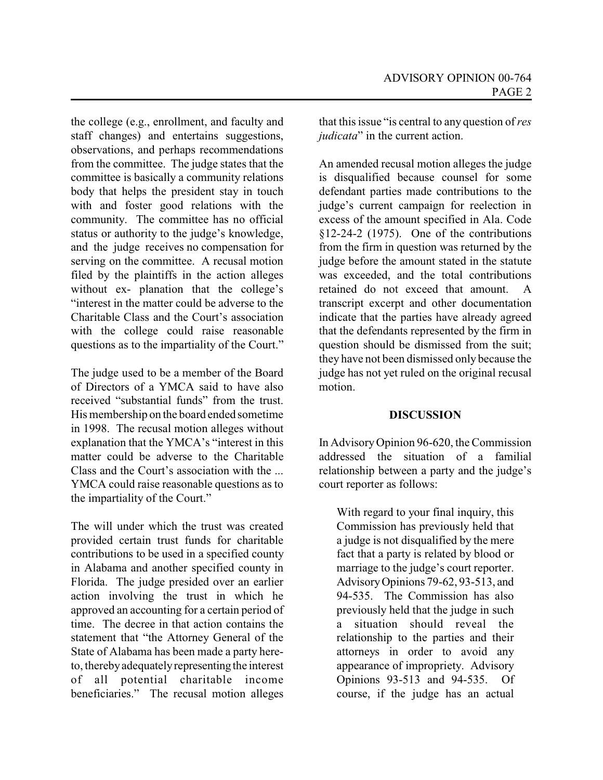the college (e.g., enrollment, and faculty and staff changes) and entertains suggestions, observations, and perhaps recommendations from the committee. The judge states that the committee is basically a community relations body that helps the president stay in touch with and foster good relations with the community. The committee has no official status or authority to the judge's knowledge, and the judge receives no compensation for serving on the committee. A recusal motion filed by the plaintiffs in the action alleges without ex- planation that the college's "interest in the matter could be adverse to the Charitable Class and the Court's association with the college could raise reasonable questions as to the impartiality of the Court."

The judge used to be a member of the Board of Directors of a YMCA said to have also received "substantial funds" from the trust. His membership on the board ended sometime in 1998. The recusal motion alleges without explanation that the YMCA's "interest in this matter could be adverse to the Charitable Class and the Court's association with the ... YMCA could raise reasonable questions as to the impartiality of the Court."

The will under which the trust was created provided certain trust funds for charitable contributions to be used in a specified county in Alabama and another specified county in Florida. The judge presided over an earlier action involving the trust in which he approved an accounting for a certain period of time. The decree in that action contains the statement that "the Attorney General of the State of Alabama has been made a party hereto, therebyadequatelyrepresenting the interest of all potential charitable income beneficiaries." The recusal motion alleges

that this issue "is central to any question of *res judicata*" in the current action.

An amended recusal motion alleges the judge is disqualified because counsel for some defendant parties made contributions to the judge's current campaign for reelection in excess of the amount specified in Ala. Code §12-24-2 (1975). One of the contributions from the firm in question was returned by the judge before the amount stated in the statute was exceeded, and the total contributions retained do not exceed that amount. A transcript excerpt and other documentation indicate that the parties have already agreed that the defendants represented by the firm in question should be dismissed from the suit; they have not been dismissed only because the judge has not yet ruled on the original recusal motion.

# **DISCUSSION**

In AdvisoryOpinion 96-620, the Commission addressed the situation of a familial relationship between a party and the judge's court reporter as follows:

With regard to your final inquiry, this Commission has previously held that a judge is not disqualified by the mere fact that a party is related by blood or marriage to the judge's court reporter. AdvisoryOpinions 79-62, 93-513, and 94-535. The Commission has also previously held that the judge in such a situation should reveal the relationship to the parties and their attorneys in order to avoid any appearance of impropriety. Advisory Opinions 93-513 and 94-535. Of course, if the judge has an actual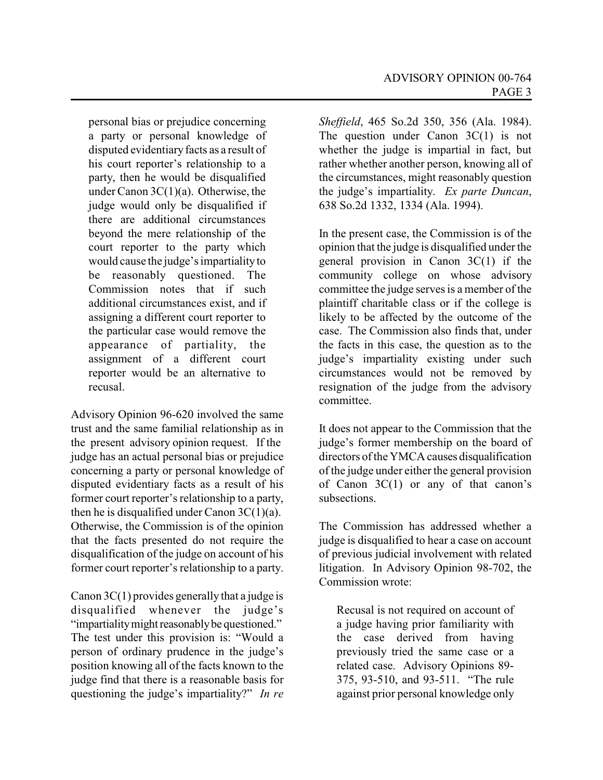personal bias or prejudice concerning a party or personal knowledge of disputed evidentiary facts as a result of his court reporter's relationship to a party, then he would be disqualified under Canon 3C(1)(a). Otherwise, the judge would only be disqualified if there are additional circumstances beyond the mere relationship of the court reporter to the party which would cause the judge's impartialityto be reasonably questioned. The Commission notes that if such additional circumstances exist, and if assigning a different court reporter to the particular case would remove the appearance of partiality, the assignment of a different court reporter would be an alternative to recusal.

Advisory Opinion 96-620 involved the same trust and the same familial relationship as in the present advisory opinion request. If the judge has an actual personal bias or prejudice concerning a party or personal knowledge of disputed evidentiary facts as a result of his former court reporter's relationship to a party, then he is disqualified under Canon  $3C(1)(a)$ . Otherwise, the Commission is of the opinion that the facts presented do not require the disqualification of the judge on account of his former court reporter's relationship to a party.

Canon  $3C(1)$  provides generally that a judge is disqualified whenever the judge's "impartialitymight reasonablybe questioned." The test under this provision is: "Would a person of ordinary prudence in the judge's position knowing all of the facts known to the judge find that there is a reasonable basis for questioning the judge's impartiality?" *In re* *Sheffield*, 465 So.2d 350, 356 (Ala. 1984). The question under Canon 3C(1) is not whether the judge is impartial in fact, but rather whether another person, knowing all of the circumstances, might reasonably question the judge's impartiality. *Ex parte Duncan*, 638 So.2d 1332, 1334 (Ala. 1994).

In the present case, the Commission is of the opinion that the judge is disqualified under the general provision in Canon 3C(1) if the community college on whose advisory committee the judge serves is a member of the plaintiff charitable class or if the college is likely to be affected by the outcome of the case. The Commission also finds that, under the facts in this case, the question as to the judge's impartiality existing under such circumstances would not be removed by resignation of the judge from the advisory committee.

It does not appear to the Commission that the judge's former membership on the board of directors of the YMCA causes disqualification of the judge under either the general provision of Canon  $3C(1)$  or any of that canon's subsections.

The Commission has addressed whether a judge is disqualified to hear a case on account of previous judicial involvement with related litigation. In Advisory Opinion 98-702, the Commission wrote:

Recusal is not required on account of a judge having prior familiarity with the case derived from having previously tried the same case or a related case. Advisory Opinions 89- 375, 93-510, and 93-511. "The rule against prior personal knowledge only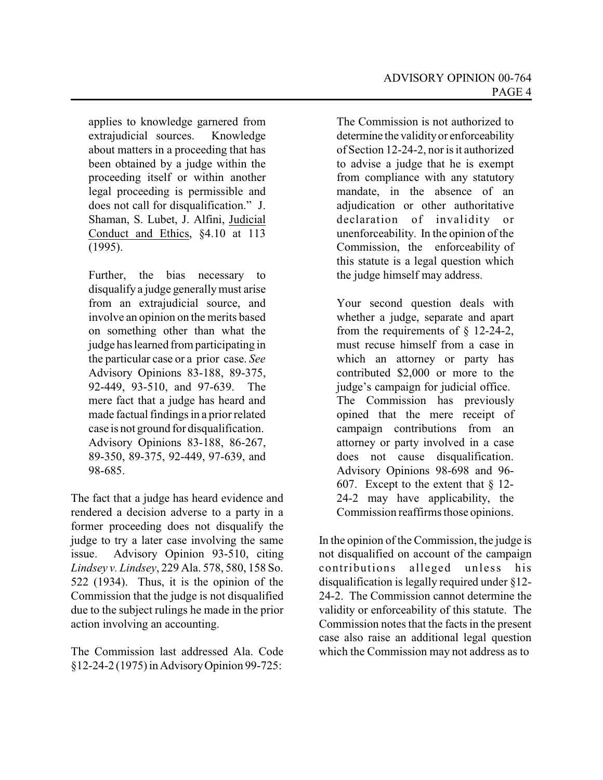applies to knowledge garnered from extrajudicial sources. Knowledge about matters in a proceeding that has been obtained by a judge within the proceeding itself or within another legal proceeding is permissible and does not call for disqualification." J. Shaman, S. Lubet, J. Alfini, Judicial Conduct and Ethics, §4.10 at 113 (1995).

Further, the bias necessary to disqualify a judge generallymust arise from an extrajudicial source, and involve an opinion on the merits based on something other than what the judge has learned from participating in the particular case or a prior case. *See* Advisory Opinions 83-188, 89-375, 92-449, 93-510, and 97-639. The mere fact that a judge has heard and made factual findings in a prior related case is not ground for disqualification. Advisory Opinions 83-188, 86-267, 89-350, 89-375, 92-449, 97-639, and 98-685.

The fact that a judge has heard evidence and rendered a decision adverse to a party in a former proceeding does not disqualify the judge to try a later case involving the same issue. Advisory Opinion 93-510, citing *Lindsey v. Lindsey*, 229 Ala. 578, 580, 158 So. 522 (1934). Thus, it is the opinion of the Commission that the judge is not disqualified due to the subject rulings he made in the prior action involving an accounting.

The Commission last addressed Ala. Code §12-24-2 (1975) in AdvisoryOpinion 99-725:

The Commission is not authorized to determine the validityor enforceability of Section 12-24-2, nor is it authorized to advise a judge that he is exempt from compliance with any statutory mandate, in the absence of an adjudication or other authoritative declaration of invalidity or unenforceability. In the opinion of the Commission, the enforceability of this statute is a legal question which the judge himself may address.

Your second question deals with whether a judge, separate and apart from the requirements of  $\S$  12-24-2, must recuse himself from a case in which an attorney or party has contributed \$2,000 or more to the judge's campaign for judicial office. The Commission has previously opined that the mere receipt of campaign contributions from an attorney or party involved in a case does not cause disqualification. Advisory Opinions 98-698 and 96- 607. Except to the extent that § 12- 24-2 may have applicability, the Commission reaffirms those opinions.

In the opinion of the Commission, the judge is not disqualified on account of the campaign contributions alleged unless his disqualification is legally required under §12- 24-2. The Commission cannot determine the validity or enforceability of this statute. The Commission notes that the facts in the present case also raise an additional legal question which the Commission may not address as to